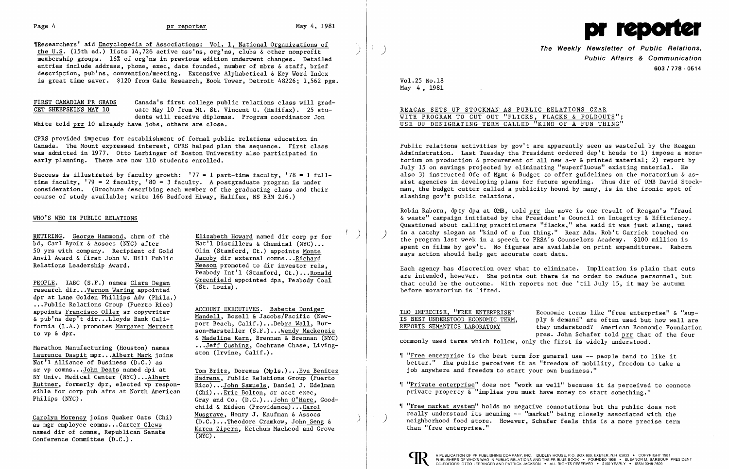# Page 4 **pr reporter** May 4, 1981

'IResearchers' aid Encyclopedia of Associations: Vol. 1, National Organizations of the U.S. (15th ed.) lists 14,726 active ass'ns, org'ns, clubs & other nonprofit ) membership groups. 16% of org'ns in previous edition underwent changes. Detailed entries include address, phone, exec, date founded, number of mbrs & staff, brief description, pub'ns, convention/meeting. Extensive Alphabetical & Key Word Index is great time saver. \$120 from Gale Research, Book Tower, Detroit 48226; 1,562 pgs.

FIRST CANADIAN PR GRADS Canada's first college public relations class will grad-<br>GET SHEEPSKINS MAY 10 uate May 10 from Mt. St. Vincent U. (Halifax). 25 stuuate May 10 from Mt. St. Vincent U. (Halifax). 25 students will receive diplomas. Program coordinator Jon

White told prr 10 already have jobs, others are close.

Success is illustrated by faculty growth:  $'77 = 1$  part-time faculty,  $'78 = 1$  fulltime faculty, '79 = 2 faculty, '80 = 3 faculty. A postgraduate program is under consideration. (Brochure describing each member of the graduating class and their course of study available; write 166 Bedford Hiway, Halifax, NS B3M 2J6.)

CPRS provided impetus for establishment of formal public relations education in Canada. The Mount expressed interest, CPRS helped plan the sequence. First class was admitted in 1977. Otto Lerbinger of Boston University also participated in early planning. There are now 110 students enrolled.

### WHO'S WHO IN PUBLIC RELATIONS

<u>RETIRING</u>. <u>George Hammond</u>, chrm of the end <u>Elizabeth Howard</u> named dir corp pr for  $\qquad$ RETIRING. George Hammond, chrm of the Elizabeth Howard named dir corp pr f.<br>bd, Carl Byoir & Assocs (NYC) after Nat'l Distillers & Chemical (NYC)... 50 yrs with company. Recipient of Gold Olin (Stamford, Ct.) appoints Monte Anvil Award & first John W. Hill Public Jacoby dir external comns...Richard Anvil Award & first John W. Hill Public Relations Leadership Award.

FEOPLE. IABC (S.F.) names Clara Degen Greenfield appointed (St. Louis). dpr at Lane Golden Phillips Adv (Phila.) ...Public Relations Group (Puerto Rico)<br>appoints <u>Francisco Oller</u> sr copywriter ACCOUNT EXECUTIVES. Babette Doniger<br>f public don't dir. I loyde Bank Cali- Mandell, Bozell & Jacobs/Pacific (New-& pub'ns dep't dir...Lloyds Bank Cali-<br>
mandell, Bozell & Jacobs/Pacific (New-<br>
port Beach, Calif.)...Debra Wall, Bur-

Laurence Daspit mpr...Albert Mark joins Nat'l Alliance of Business  $(D.C.)$  as sr vp comns...John Deats named dpi at Tom Britz, Doremus (Mpls.)... Eva Benitez<br>NY Univ. Medical Center (NYC)...Albert Badrena, Public Relations Group (Puerto Ruttner, formerly dpr, elected vp respon-  $\overline{\text{Rico})...}$  John Samuels, Daniel J. Edelman sible for corp pub afrs at North American (Chi)... $\overline{\text{Eric Bolton}}$ , sr acct exec,<br>Philips (NYC). Grav and Co. (D.C.)...John O'Hare.

named dir of comns, Republican Senate  $\frac{\text{Katen } \chi}{\text{(NYC)}}$ .

Olin (Stamford, Ct.) appoints Monte Neeson promoted to dir investor rels, Peabody Int'l (Stamford, Ct.)... Ronald<br>Greenfield appointed dpa, Peabody Coal

port Beach, Calif.)...<u>Debra Wall</u>, Bur-<br>to vp & dpr.<br>& Madeline Kern, Brennan & Brennan (NYC) & Madeline Kern, Brennan & Brennan (NYC) Marathon Manufacturing (Houston) names ... Jeff Cushing, Cochrane Chase, Living-<br>Jeureneo Despit mar Albert Mark ioine ston (Irvine, Calif.).

Badrena, Public Relations Group (Puerto Gray and Co.  $(D.C.)$ ...John O'Hare, Goodchild & Eidson (Providence)...Carol<br>Musgrave, Henry J. Kaufman & Assocs Carolyn Morency joins Quaker Oats (Chi) Musgrave, Henry J. Kaufman & Assocs<br>as mgr employee comms...Carter Clews<br>Karen Zipern, Ketchum MacLeod and Grove

The Weekly Newsletter of Public Relations, Public Affairs & Communication 603/778 - 0514

Robin Raborn, dpty dpa at OMB, told prr the move is one result of Reagan's "fraud &waste" campaign initiated by the President's Council on Integrity & Efficiency. Questioned about calling practitioners "flacks," she said it was just slang, used in a catchy slogan as "kind of a fun thing." Rear Adm. Rob't Garrick touched on the program last week in a speech to PRSA's Counselors Academy. \$100 million is spent on films by gov't. No figures are available on print expenditures. Raborn says action should help get accurate cost data.

IS BEST UNDERSTOOD ECONOMIC TERM, ply & demand" are often used but how well are REPORTS SEMANTICS LABORATORY they understood? American Economic Foundation commonly used terms which follow, only the first is widely understood .



Vol. 25 No .18 May 4, 1981

REAGAN SETS UP STOCKMAN AS PUBLIC RELATIONS CZAR WITH PROGRAM TO CUT OUT "FLICKS, FLACKS & FOLDOUTS"; USE OF DENIGRATING TERM CALLED "KIND OF A FUN THING"

Public relations activities by gov't are apparently seen as wasteful by the Reagan Administration. Last Tuesday the President ordered dep't heads to 1) impose a moratorium on production & procurement of all new a-v & printed material; 2) report by July 15 on savings projected by eliminating "superfluous" existing material. He also 3) instructed Ofc of Mgmt & Budget to offer guidelines on the moratorium & assist agencies in developing plans for future spending. Thus dir of OMB David Stockman, the budget cutter called a publicity hound by many, is in the ironic spot of slashing gov't public relations.

Each agency has discretion over what to eliminate. Implication is plain that cuts are intended, however. She points out there is no order to reduce personnel, but that could be the outcome. With reports not due 'til July 15, it may be autumn before moratorium is lifted.

THO IMPRECISE, "FREE ENTERPRISE" Economic terms like "free enterprise" & "sup-<br>IS BEST UNDERSTOOD ECONOMIC TERM, ply & demand" are often used but how well are they understood? American Economic Foundation pres. John Schafer told prr that of the four

better." The public perceives it as "freedom of mobility, freedom to take a

really understand its meaning -- "market" being closely associated with the neighborhood food store. However, Schafer feels this is a more precise term

- '1 "Free enterprise is the best term for general use -- people tend to like it job anywhere and freedom to start your own business."
- '1 "Private enterprise" does not "work as well" because it is perceived to connote private property & "implies you must have money to start something."
- '1 "Free market system" holds no negative connotations but the public does not than "free enterprise."